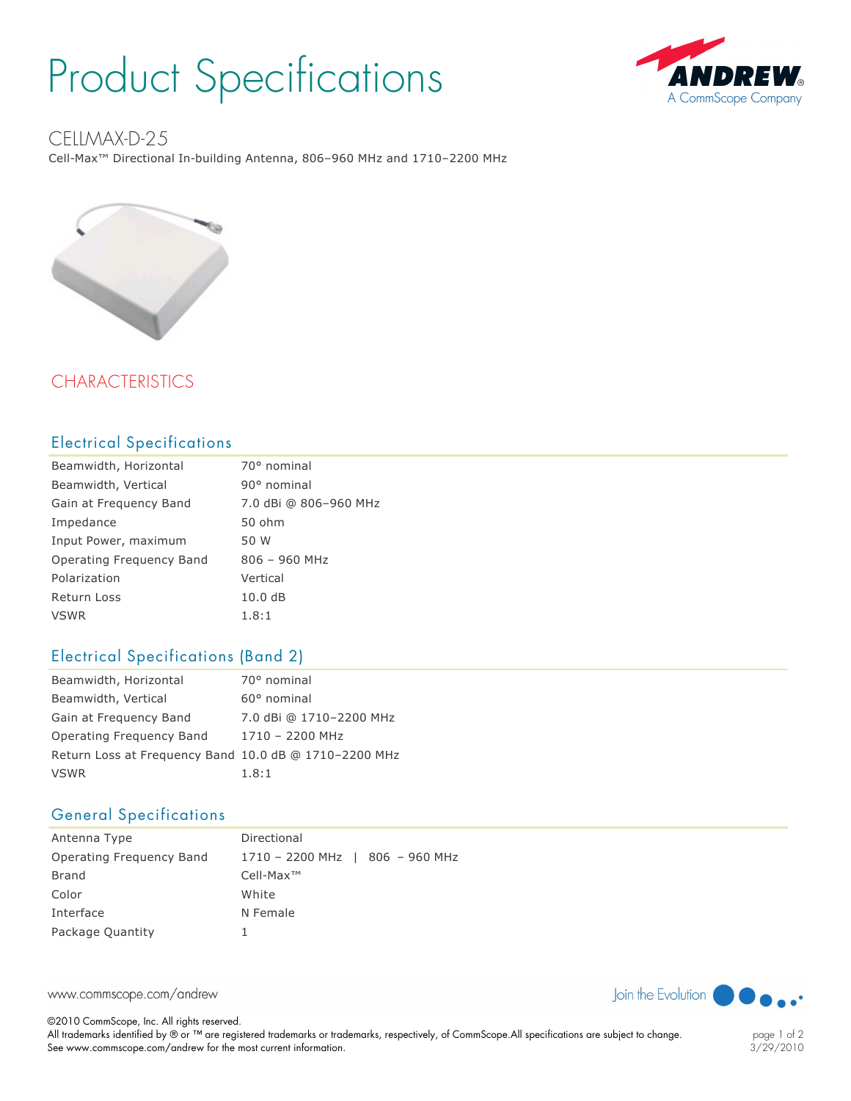# Product Specifications



## CFIIMAX-D-25

Cell-Max<sup>™</sup> Directional In-building Antenna, 806-960 MHz and 1710-2200 MHz



# CHARACTERISTICS

#### Electrical Specifications

| Beamwidth, Horizontal    | 70° nominal           |
|--------------------------|-----------------------|
| Beamwidth, Vertical      | 90° nominal           |
| Gain at Frequency Band   | 7.0 dBi @ 806-960 MHz |
| Impedance                | 50 ohm                |
| Input Power, maximum     | 50 W                  |
| Operating Frequency Band | $806 - 960$ MHz       |
| Polarization             | Vertical              |
| <b>Return Loss</b>       | 10.0dB                |
| <b>VSWR</b>              | 1.8:1                 |

### Electrical Specifications (Band 2)

| Beamwidth, Horizontal                                 | 70° nominal             |
|-------------------------------------------------------|-------------------------|
| Beamwidth, Vertical                                   | $60^{\circ}$ nominal    |
| Gain at Frequency Band                                | 7.0 dBi @ 1710-2200 MHz |
| Operating Freguency Band                              | 1710 - 2200 MHz         |
| Return Loss at Frequency Band 10.0 dB @ 1710-2200 MHz |                         |
| <b>VSWR</b>                                           | 1.8:1                   |

## General Specifications

| Antenna Type             | Directional                     |
|--------------------------|---------------------------------|
| Operating Freguency Band | 1710 - 2200 MHz   806 - 960 MHz |
| Brand                    | $Cell-Max^{TM}$                 |
| Color                    | White                           |
| Interface                | N Female                        |
| Package Quantity         |                                 |

www.commscope.com/andrew

©2010 CommScope, Inc. All rights reserved. All trademarks identified by ® or ™ are registered trademarks or trademarks, respectively, of CommScope.All specifications are subject to change. See www.commscope.com/andrew for the most current information.



page 1 of 2 3/29/2010